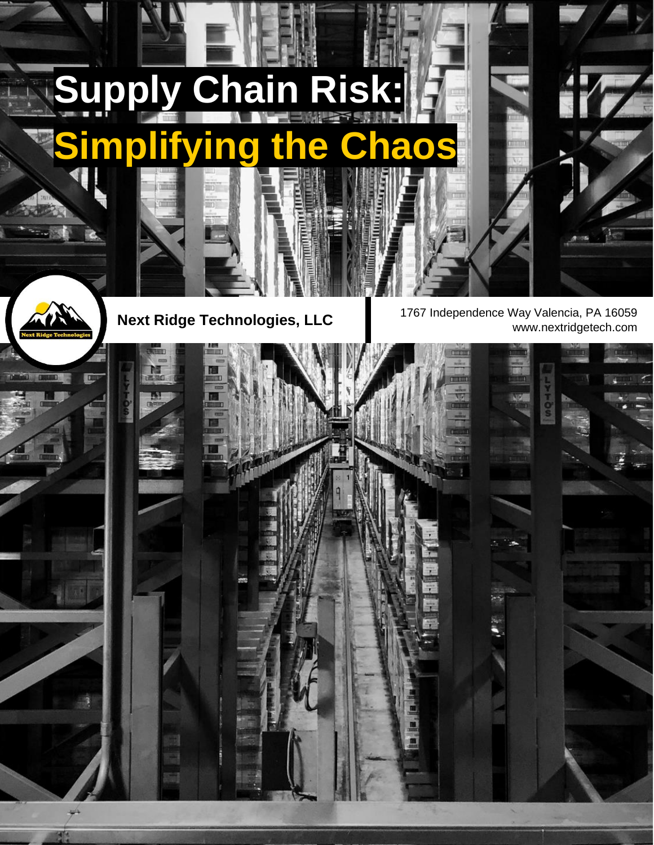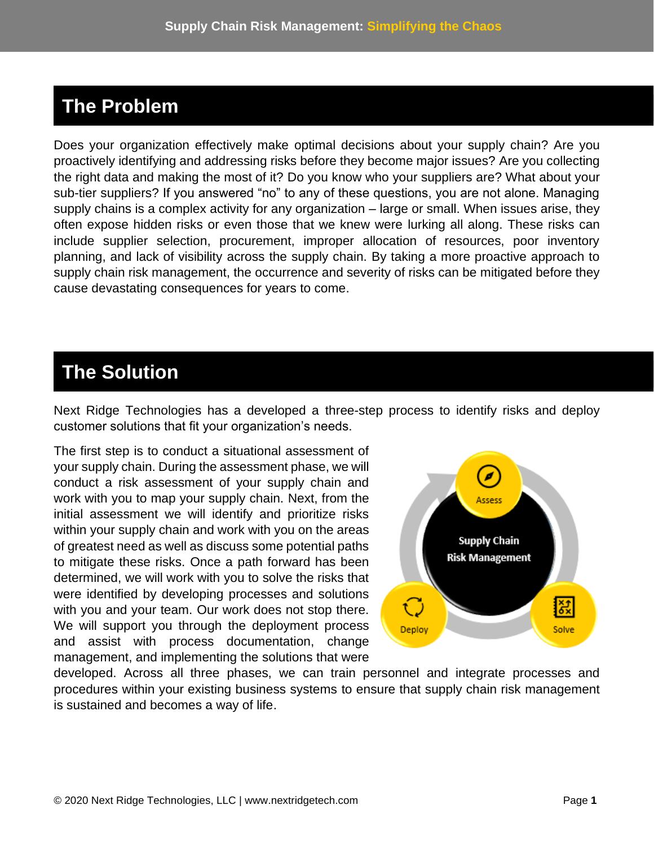## **The Problem**

Does your organization effectively make optimal decisions about your supply chain? Are you proactively identifying and addressing risks before they become major issues? Are you collecting the right data and making the most of it? Do you know who your suppliers are? What about your sub-tier suppliers? If you answered "no" to any of these questions, you are not alone. Managing supply chains is a complex activity for any organization – large or small. When issues arise, they often expose hidden risks or even those that we knew were lurking all along. These risks can include supplier selection, procurement, improper allocation of resources, poor inventory planning, and lack of visibility across the supply chain. By taking a more proactive approach to supply chain risk management, the occurrence and severity of risks can be mitigated before they cause devastating consequences for years to come.

## **The Solution**

Next Ridge Technologies has a developed a three-step process to identify risks and deploy customer solutions that fit your organization's needs.

The first step is to conduct a situational assessment of your supply chain. During the assessment phase, we will conduct a risk assessment of your supply chain and work with you to map your supply chain. Next, from the initial assessment we will identify and prioritize risks within your supply chain and work with you on the areas of greatest need as well as discuss some potential paths to mitigate these risks. Once a path forward has been determined, we will work with you to solve the risks that were identified by developing processes and solutions with you and your team. Our work does not stop there. We will support you through the deployment process and assist with process documentation, change management, and implementing the solutions that were



developed. Across all three phases, we can train personnel and integrate processes and procedures within your existing business systems to ensure that supply chain risk management is sustained and becomes a way of life.